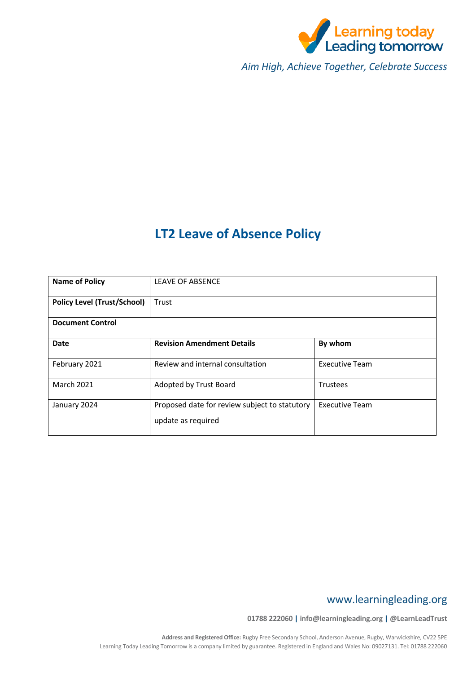

*Aim High, Achieve Together, Celebrate Success*

# **LT2 Leave of Absence Policy**

| <b>Name of Policy</b>              | <b>LEAVE OF ABSENCE</b>                                             |                       |
|------------------------------------|---------------------------------------------------------------------|-----------------------|
| <b>Policy Level (Trust/School)</b> | Trust                                                               |                       |
| <b>Document Control</b>            |                                                                     |                       |
| Date                               | <b>Revision Amendment Details</b>                                   | By whom               |
| February 2021                      | Review and internal consultation                                    | <b>Executive Team</b> |
| <b>March 2021</b>                  | Adopted by Trust Board                                              | Trustees              |
| January 2024                       | Proposed date for review subject to statutory<br>update as required | <b>Executive Team</b> |

# www.learningleading.org

**01788 222060 | info@learningleading.org | @LearnLeadTrust**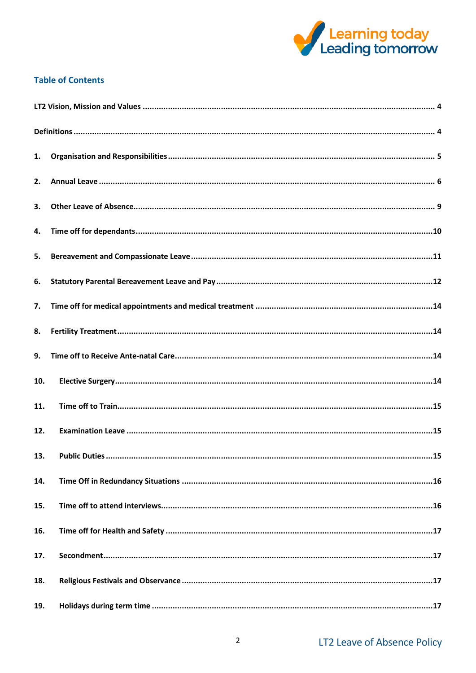

## **Table of Contents**

| 1.  |  |  |
|-----|--|--|
| 2.  |  |  |
| 3.  |  |  |
| 4.  |  |  |
| 5.  |  |  |
| 6.  |  |  |
| 7.  |  |  |
| 8.  |  |  |
| 9.  |  |  |
| 10. |  |  |
| 11. |  |  |
| 12. |  |  |
| 13. |  |  |
| 14. |  |  |
| 15. |  |  |
| 16. |  |  |
| 17. |  |  |
| 18. |  |  |
| 19. |  |  |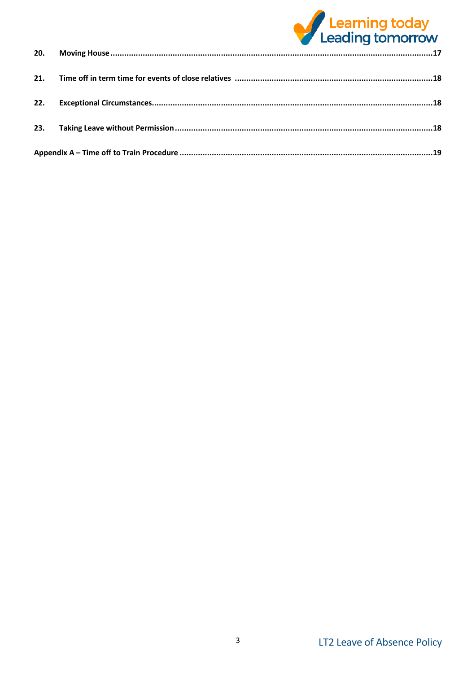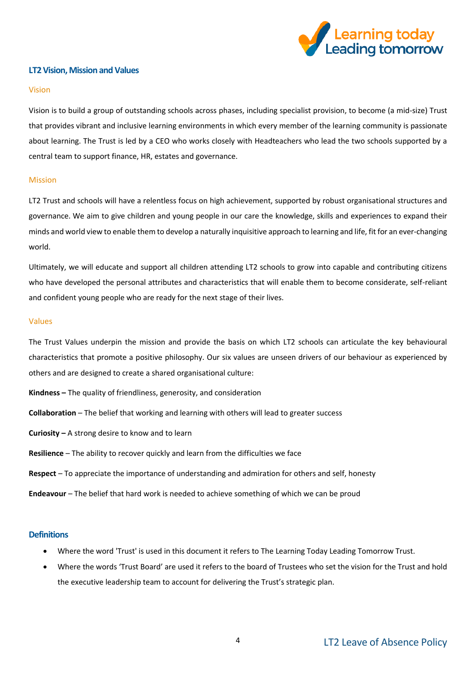

## <span id="page-3-0"></span>**LT2 Vision, Mission and Values**

#### Vision

Vision is to build a group of outstanding schools across phases, including specialist provision, to become (a mid-size) Trust that provides vibrant and inclusive learning environments in which every member of the learning community is passionate about learning. The Trust is led by a CEO who works closely with Headteachers who lead the two schools supported by a central team to support finance, HR, estates and governance.

#### Mission

LT2 Trust and schools will have a relentless focus on high achievement, supported by robust organisational structures and governance. We aim to give children and young people in our care the knowledge, skills and experiences to expand their minds and world view to enable them to develop a naturally inquisitive approach to learning and life, fit for an ever-changing world.

Ultimately, we will educate and support all children attending LT2 schools to grow into capable and contributing citizens who have developed the personal attributes and characteristics that will enable them to become considerate, self-reliant and confident young people who are ready for the next stage of their lives.

#### Values

The Trust Values underpin the mission and provide the basis on which LT2 schools can articulate the key behavioural characteristics that promote a positive philosophy. Our six values are unseen drivers of our behaviour as experienced by others and are designed to create a shared organisational culture:

- **Kindness –** The quality of friendliness, generosity, and consideration
- **Collaboration** The belief that working and learning with others will lead to greater success
- **Curiosity –** A strong desire to know and to learn
- **Resilience** The ability to recover quickly and learn from the difficulties we face
- **Respect** To appreciate the importance of understanding and admiration for others and self, honesty
- **Endeavour** The belief that hard work is needed to achieve something of which we can be proud

#### <span id="page-3-1"></span>**Definitions**

- Where the word 'Trust' is used in this document it refers to The Learning Today Leading Tomorrow Trust.
- Where the words 'Trust Board' are used it refers to the board of Trustees who set the vision for the Trust and hold the executive leadership team to account for delivering the Trust's strategic plan.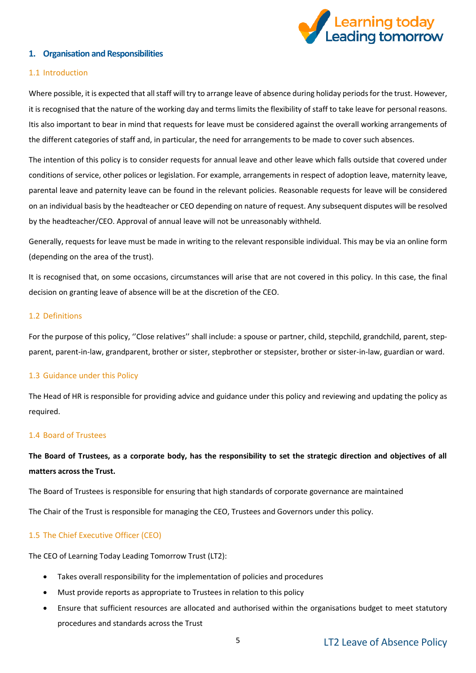

## <span id="page-4-0"></span>**1. Organisation and Responsibilities**

## 1.1 Introduction

Where possible, it is expected that all staff will try to arrange leave of absence during holiday periods for the trust. However, it is recognised that the nature of the working day and terms limits the flexibility of staff to take leave for personal reasons. Itis also important to bear in mind that requests for leave must be considered against the overall working arrangements of the different categories of staff and, in particular, the need for arrangements to be made to cover such absences.

The intention of this policy is to consider requests for annual leave and other leave which falls outside that covered under conditions of service, other polices or legislation. For example, arrangements in respect of adoption leave, maternity leave, parental leave and paternity leave can be found in the relevant policies. Reasonable requests for leave will be considered on an individual basis by the headteacher or CEO depending on nature of request. Any subsequent disputes will be resolved by the headteacher/CEO. Approval of annual leave will not be unreasonably withheld.

Generally, requests for leave must be made in writing to the relevant responsible individual. This may be via an online form (depending on the area of the trust).

It is recognised that, on some occasions, circumstances will arise that are not covered in this policy. In this case, the final decision on granting leave of absence will be at the discretion of the CEO.

#### 1.2 Definitions

For the purpose of this policy, ''Close relatives'' shall include: a spouse or partner, child, stepchild, grandchild, parent, stepparent, parent-in-law, grandparent, brother or sister, stepbrother or stepsister, brother or sister-in-law, guardian or ward.

#### 1.3 Guidance under this Policy

The Head of HR is responsible for providing advice and guidance under this policy and reviewing and updating the policy as required.

#### 1.4 Board of Trustees

**The Board of Trustees, as a corporate body, has the responsibility to set the strategic direction and objectives of all matters across the Trust.**

The Board of Trustees is responsible for ensuring that high standards of corporate governance are maintained

The Chair of the Trust is responsible for managing the CEO, Trustees and Governors under this policy.

#### 1.5 The Chief Executive Officer (CEO)

The CEO of Learning Today Leading Tomorrow Trust (LT2):

- Takes overall responsibility for the implementation of policies and procedures
- Must provide reports as appropriate to Trustees in relation to this policy
- Ensure that sufficient resources are allocated and authorised within the organisations budget to meet statutory procedures and standards across the Trust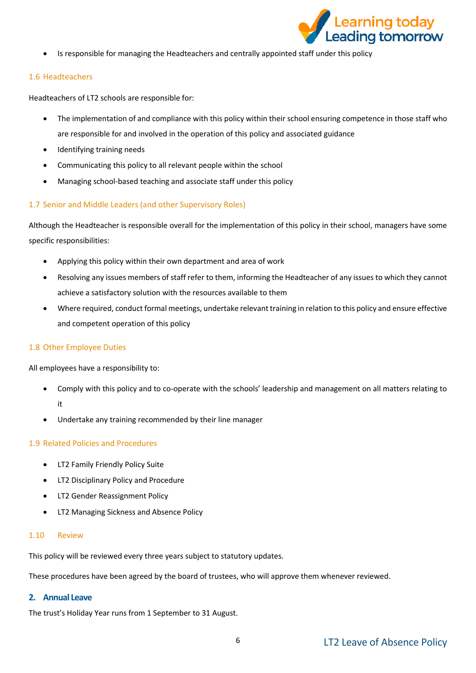

• Is responsible for managing the Headteachers and centrally appointed staff under this policy

## 1.6 Headteachers

Headteachers of LT2 schools are responsible for:

- The implementation of and compliance with this policy within their school ensuring competence in those staff who are responsible for and involved in the operation of this policy and associated guidance
- Identifying training needs
- Communicating this policy to all relevant people within the school
- Managing school-based teaching and associate staff under this policy

## 1.7 Senior and Middle Leaders (and other Supervisory Roles)

Although the Headteacher is responsible overall for the implementation of this policy in their school, managers have some specific responsibilities:

- Applying this policy within their own department and area of work
- Resolving any issues members of staff refer to them, informing the Headteacher of any issues to which they cannot achieve a satisfactory solution with the resources available to them
- Where required, conduct formal meetings, undertake relevant training in relation to this policy and ensure effective and competent operation of this policy

## 1.8 Other Employee Duties

All employees have a responsibility to:

- Comply with this policy and to co-operate with the schools' leadership and management on all matters relating to it
- Undertake any training recommended by their line manager

## 1.9 Related Policies and Procedures

- LT2 Family Friendly Policy Suite
- LT2 Disciplinary Policy and Procedure
- LT2 Gender Reassignment Policy
- LT2 Managing Sickness and Absence Policy

## 1.10 Review

This policy will be reviewed every three years subject to statutory updates.

These procedures have been agreed by the board of trustees, who will approve them whenever reviewed.

## <span id="page-5-0"></span>**2. Annual Leave**

The trust's Holiday Year runs from 1 September to 31 August.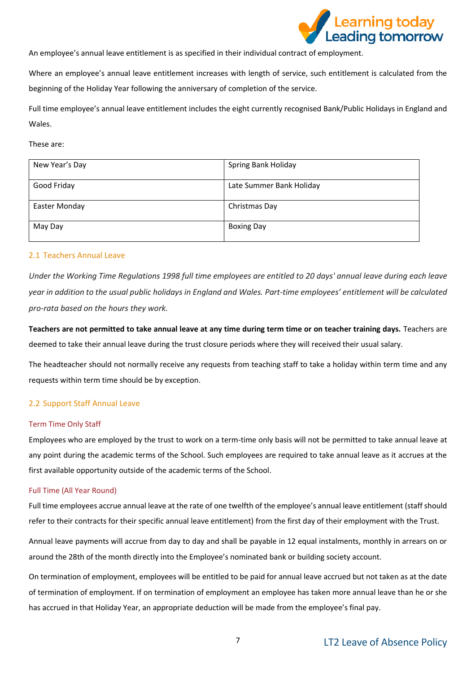

An employee's annual leave entitlement is as specified in their individual contract of employment.

Where an employee's annual leave entitlement increases with length of service, such entitlement is calculated from the beginning of the Holiday Year following the anniversary of completion of the service.

Full time employee's annual leave entitlement includes the eight currently recognised Bank/Public Holidays in England and Wales.

These are:

| New Year's Day | Spring Bank Holiday      |
|----------------|--------------------------|
| Good Friday    | Late Summer Bank Holiday |
| Easter Monday  | Christmas Day            |
| May Day        | <b>Boxing Day</b>        |

#### 2.1 Teachers Annual Leave

Under the Working Time Regulations 1998 full time employees are entitled to 20 days' annual leave during each leave year in addition to the usual public holidays in England and Wales. Part-time employees' entitlement will be calculated *pro-rata based on the hours they work.*

**Teachers are not permitted to take annual leave at any time during term time or on teacher training days.** Teachers are deemed to take their annual leave during the trust closure periods where they will received their usual salary.

The headteacher should not normally receive any requests from teaching staff to take a holiday within term time and any requests within term time should be by exception.

## 2.2 Support Staff Annual Leave

#### Term Time Only Staff

Employees who are employed by the trust to work on a term-time only basis will not be permitted to take annual leave at any point during the academic terms of the School. Such employees are required to take annual leave as it accrues at the first available opportunity outside of the academic terms of the School.

#### Full Time (All Year Round)

Full time employees accrue annual leave at the rate of one twelfth of the employee's annual leave entitlement (staff should refer to their contracts for their specific annual leave entitlement) from the first day of their employment with the Trust.

Annual leave payments will accrue from day to day and shall be payable in 12 equal instalments, monthly in arrears on or around the 28th of the month directly into the Employee's nominated bank or building society account.

On termination of employment, employees will be entitled to be paid for annual leave accrued but not taken as at the date of termination of employment. If on termination of employment an employee has taken more annual leave than he or she has accrued in that Holiday Year, an appropriate deduction will be made from the employee's final pay.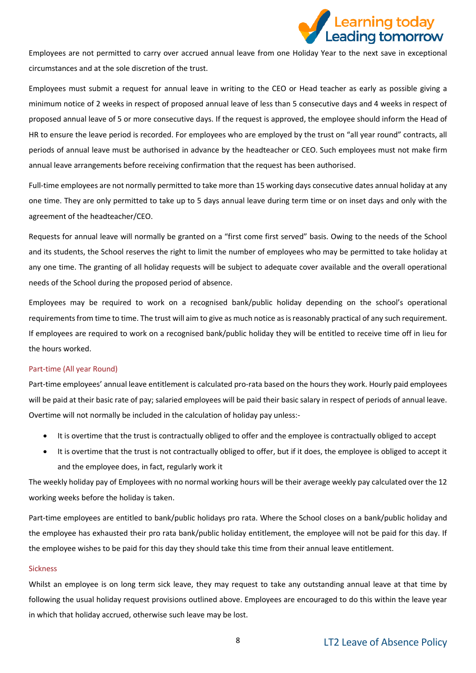

Employees are not permitted to carry over accrued annual leave from one Holiday Year to the next save in exceptional circumstances and at the sole discretion of the trust.

Employees must submit a request for annual leave in writing to the CEO or Head teacher as early as possible giving a minimum notice of 2 weeks in respect of proposed annual leave of less than 5 consecutive days and 4 weeks in respect of proposed annual leave of 5 or more consecutive days. If the request is approved, the employee should inform the Head of HR to ensure the leave period is recorded. For employees who are employed by the trust on "all year round" contracts, all periods of annual leave must be authorised in advance by the headteacher or CEO. Such employees must not make firm annual leave arrangements before receiving confirmation that the request has been authorised.

Full-time employees are not normally permitted to take more than 15 working days consecutive dates annual holiday at any one time. They are only permitted to take up to 5 days annual leave during term time or on inset days and only with the agreement of the headteacher/CEO.

Requests for annual leave will normally be granted on a "first come first served" basis. Owing to the needs of the School and its students, the School reserves the right to limit the number of employees who may be permitted to take holiday at any one time. The granting of all holiday requests will be subject to adequate cover available and the overall operational needs of the School during the proposed period of absence.

Employees may be required to work on a recognised bank/public holiday depending on the school's operational requirements from time to time. The trust will aim to give as much notice as is reasonably practical of any such requirement. If employees are required to work on a recognised bank/public holiday they will be entitled to receive time off in lieu for the hours worked.

#### Part-time (All year Round)

Part-time employees' annual leave entitlement is calculated pro-rata based on the hours they work. Hourly paid employees will be paid at their basic rate of pay; salaried employees will be paid their basic salary in respect of periods of annual leave. Overtime will not normally be included in the calculation of holiday pay unless:-

- It is overtime that the trust is contractually obliged to offer and the employee is contractually obliged to accept
- It is overtime that the trust is not contractually obliged to offer, but if it does, the employee is obliged to accept it and the employee does, in fact, regularly work it

The weekly holiday pay of Employees with no normal working hours will be their average weekly pay calculated over the 12 working weeks before the holiday is taken.

Part-time employees are entitled to bank/public holidays pro rata. Where the School closes on a bank/public holiday and the employee has exhausted their pro rata bank/public holiday entitlement, the employee will not be paid for this day. If the employee wishes to be paid for this day they should take this time from their annual leave entitlement.

#### Sickness

Whilst an employee is on long term sick leave, they may request to take any outstanding annual leave at that time by following the usual holiday request provisions outlined above. Employees are encouraged to do this within the leave year in which that holiday accrued, otherwise such leave may be lost.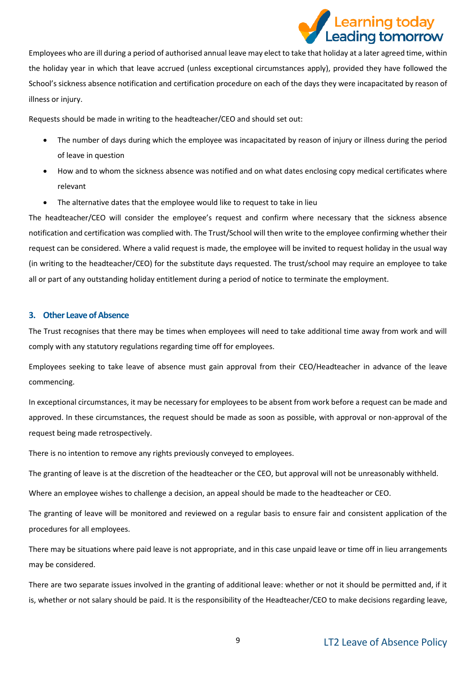# e<mark>arning toda</mark>y **Leading tomorrow**

Employees who are ill during a period of authorised annual leave may elect to take that holiday at a later agreed time, within the holiday year in which that leave accrued (unless exceptional circumstances apply), provided they have followed the School's sickness absence notification and certification procedure on each of the days they were incapacitated by reason of illness or injury.

Requests should be made in writing to the headteacher/CEO and should set out:

- The number of days during which the employee was incapacitated by reason of injury or illness during the period of leave in question
- How and to whom the sickness absence was notified and on what dates enclosing copy medical certificates where relevant
- The alternative dates that the employee would like to request to take in lieu

The headteacher/CEO will consider the employee's request and confirm where necessary that the sickness absence notification and certification was complied with. The Trust/School will then write to the employee confirming whether their request can be considered. Where a valid request is made, the employee will be invited to request holiday in the usual way (in writing to the headteacher/CEO) for the substitute days requested. The trust/school may require an employee to take all or part of any outstanding holiday entitlement during a period of notice to terminate the employment.

## <span id="page-8-0"></span>**3. Other Leave of Absence**

The Trust recognises that there may be times when employees will need to take additional time away from work and will comply with any statutory regulations regarding time off for employees.

Employees seeking to take leave of absence must gain approval from their CEO/Headteacher in advance of the leave commencing.

In exceptional circumstances, it may be necessary for employees to be absent from work before a request can be made and approved. In these circumstances, the request should be made as soon as possible, with approval or non-approval of the request being made retrospectively.

There is no intention to remove any rights previously conveyed to employees.

The granting of leave is at the discretion of the headteacher or the CEO, but approval will not be unreasonably withheld.

Where an employee wishes to challenge a decision, an appeal should be made to the headteacher or CEO.

The granting of leave will be monitored and reviewed on a regular basis to ensure fair and consistent application of the procedures for all employees.

There may be situations where paid leave is not appropriate, and in this case unpaid leave or time off in lieu arrangements may be considered.

There are two separate issues involved in the granting of additional leave: whether or not it should be permitted and, if it is, whether or not salary should be paid. It is the responsibility of the Headteacher/CEO to make decisions regarding leave,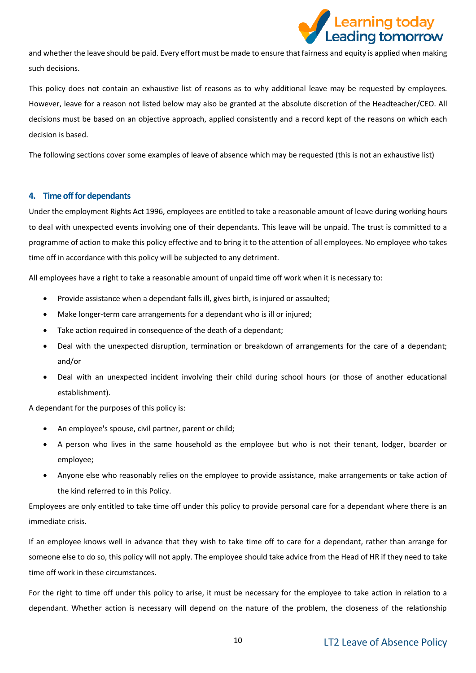

and whether the leave should be paid. Every effort must be made to ensure that fairness and equity is applied when making such decisions.

This policy does not contain an exhaustive list of reasons as to why additional leave may be requested by employees. However, leave for a reason not listed below may also be granted at the absolute discretion of the Headteacher/CEO. All decisions must be based on an objective approach, applied consistently and a record kept of the reasons on which each decision is based.

The following sections cover some examples of leave of absence which may be requested (this is not an exhaustive list)

## <span id="page-9-0"></span>**4. Time off for dependants**

Under the employment Rights Act 1996, employees are entitled to take a reasonable amount of leave during working hours to deal with unexpected events involving one of their dependants. This leave will be unpaid. The trust is committed to a programme of action to make this policy effective and to bring it to the attention of all employees. No employee who takes time off in accordance with this policy will be subjected to any detriment.

All employees have a right to take a reasonable amount of unpaid time off work when it is necessary to:

- Provide assistance when a dependant falls ill, gives birth, is injured or assaulted;
- Make longer-term care arrangements for a dependant who is ill or injured;
- Take action required in consequence of the death of a dependant;
- Deal with the unexpected disruption, termination or breakdown of arrangements for the care of a dependant; and/or
- Deal with an unexpected incident involving their child during school hours (or those of another educational establishment).

A dependant for the purposes of this policy is:

- An employee's spouse, civil partner, parent or child;
- A person who lives in the same household as the employee but who is not their tenant, lodger, boarder or employee;
- Anyone else who reasonably relies on the employee to provide assistance, make arrangements or take action of the kind referred to in this Policy.

Employees are only entitled to take time off under this policy to provide personal care for a dependant where there is an immediate crisis.

If an employee knows well in advance that they wish to take time off to care for a dependant, rather than arrange for someone else to do so, this policy will not apply. The employee should take advice from the Head of HR if they need to take time off work in these circumstances.

For the right to time off under this policy to arise, it must be necessary for the employee to take action in relation to a dependant. Whether action is necessary will depend on the nature of the problem, the closeness of the relationship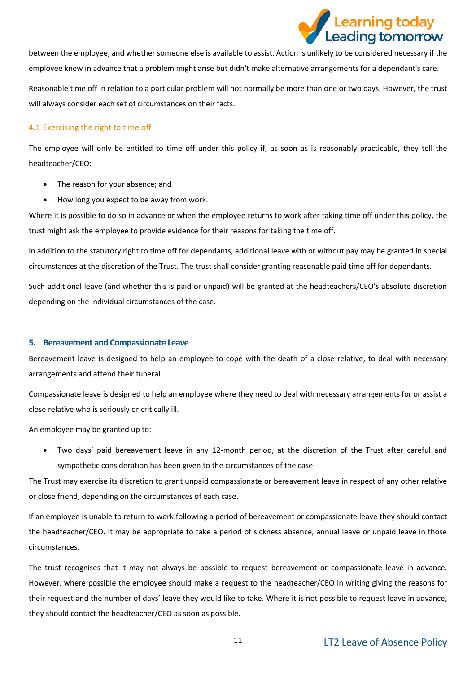

between the employee, and whether someone else is available to assist. Action is unlikely to be considered necessary if the employee knew in advance that a problem might arise but didn't make alternative arrangements for a dependant's care.

Reasonable time off in relation to a particular problem will not normally be more than one or two days. However, the trust will always consider each set of circumstances on their facts.

## 4.1 Exercising the right to time off

The employee will only be entitled to time off under this policy if, as soon as is reasonably practicable, they tell the headteacher/CEO:

- The reason for your absence; and
- How long you expect to be away from work.

Where it is possible to do so in advance or when the employee returns to work after taking time off under this policy, the trust might ask the employee to provide evidence for their reasons for taking the time off.

In addition to the statutory right to time off for dependants, additional leave with or without pay may be granted in special circumstances at the discretion of the Trust. The trust shall consider granting reasonable paid time off for dependants.

Such additional leave (and whether this is paid or unpaid) will be granted at the headteachers/CEO's absolute discretion depending on the individual circumstances of the case.

## <span id="page-10-0"></span>**5. Bereavement and Compassionate Leave**

Bereavement leave is designed to help an employee to cope with the death of a close relative, to deal with necessary arrangements and attend their funeral.

Compassionate leave is designed to help an employee where they need to deal with necessary arrangements for or assist a close relative who is seriously or critically ill.

An employee may be granted up to:

• Two days' paid bereavement leave in any 12-month period, at the discretion of the Trust after careful and sympathetic consideration has been given to the circumstances of the case

The Trust may exercise its discretion to grant unpaid compassionate or bereavement leave in respect of any other relative or close friend, depending on the circumstances of each case.

If an employee is unable to return to work following a period of bereavement or compassionate leave they should contact the headteacher/CEO. It may be appropriate to take a period of sickness absence, annual leave or unpaid leave in those circumstances.

The trust recognises that it may not always be possible to request bereavement or compassionate leave in advance. However, where possible the employee should make a request to the headteacher/CEO in writing giving the reasons for their request and the number of days' leave they would like to take. Where it is not possible to request leave in advance, they should contact the headteacher/CEO as soon as possible.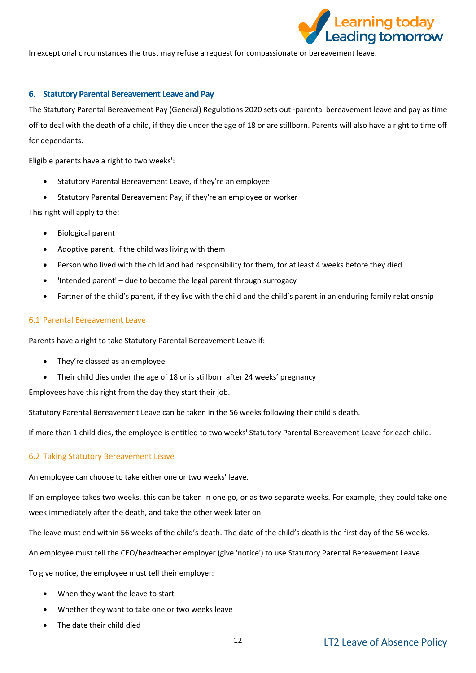

In exceptional circumstances the trust may refuse a request for compassionate or bereavement leave.

## <span id="page-11-0"></span>**6. Statutory Parental Bereavement Leave and Pay**

The Statutory Parental Bereavement Pay (General) Regulations 2020 sets out -parental bereavement leave and pay as time off to deal with the death of a child, if they die under the age of 18 or are stillborn. Parents will also have a right to time off for dependants.

Eligible parents have a right to two weeks':

- Statutory Parental Bereavement Leave, if they're an employee
- Statutory Parental Bereavement Pay, if they're an employee or worker

This right will apply to the:

- Biological parent
- Adoptive parent, if the child was living with them
- Person who lived with the child and had responsibility for them, for at least 4 weeks before they died
- 'Intended parent' due to become the legal parent through surrogacy
- Partner of the child's parent, if they live with the child and the child's parent in an enduring family relationship

#### 6.1 Parental Bereavement Leave

Parents have a right to take Statutory Parental Bereavement Leave if:

- They're classed as an employee
- Their child dies under the age of 18 or is stillborn after 24 weeks' pregnancy

Employees have this right from the day they start their job.

Statutory Parental Bereavement Leave can be taken in the 56 weeks following their child's death.

If more than 1 child dies, the employee is entitled to two weeks' Statutory Parental Bereavement Leave for each child.

## 6.2 Taking Statutory Bereavement Leave

An employee can choose to take either one or two weeks' leave.

If an employee takes two weeks, this can be taken in one go, or as two separate weeks. For example, they could take one week immediately after the death, and take the other week later on.

The leave must end within 56 weeks of the child's death. The date of the child's death is the first day of the 56 weeks.

An employee must tell the CEO/headteacher employer (give 'notice') to use Statutory Parental Bereavement Leave.

To give notice, the employee must tell their employer:

- When they want the leave to start
- Whether they want to take one or two weeks leave
- The date their child died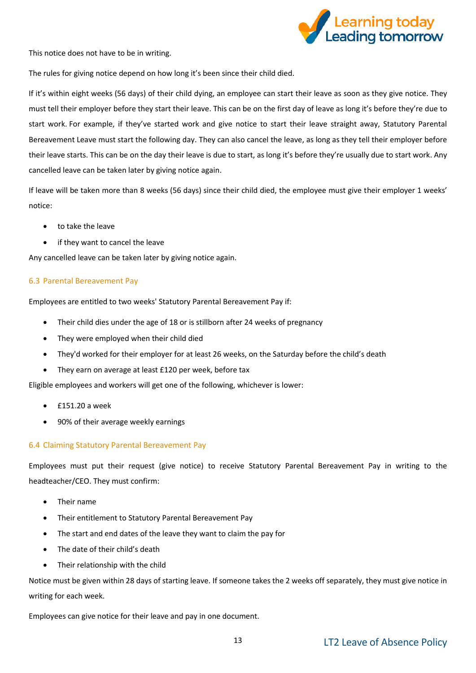

This notice does not have to be in writing.

The rules for giving notice depend on how long it's been since their child died.

If it's within eight weeks (56 days) of their child dying, an employee can start their leave as soon as they give notice. They must tell their employer before they start their leave. This can be on the first day of leave as long it's before they're due to start work. For example, if they've started work and give notice to start their leave straight away, Statutory Parental Bereavement Leave must start the following day. They can also cancel the leave, as long as they tell their employer before their leave starts. This can be on the day their leave is due to start, as long it's before they're usually due to start work. Any cancelled leave can be taken later by giving notice again.

If leave will be taken more than 8 weeks (56 days) since their child died, the employee must give their employer 1 weeks' notice:

- to take the leave
- if they want to cancel the leave

Any cancelled leave can be taken later by giving notice again.

## 6.3 Parental Bereavement Pay

Employees are entitled to two weeks' Statutory Parental Bereavement Pay if:

- Their child dies under the age of 18 or is stillborn after 24 weeks of pregnancy
- They were employed when their child died
- They'd worked for their employer for at least 26 weeks, on the Saturday before the child's death
- They earn on average at least £120 per week, before tax

Eligible employees and workers will get one of the following, whichever is lower:

- £151.20 a week
- 90% of their average weekly earnings

## 6.4 Claiming Statutory Parental Bereavement Pay

Employees must put their request (give notice) to receive Statutory Parental Bereavement Pay in writing to the headteacher/CEO. They must confirm:

- Their name
- Their entitlement to Statutory Parental Bereavement Pay
- The start and end dates of the leave they want to claim the pay for
- The date of their child's death
- Their relationship with the child

Notice must be given within 28 days of starting leave. If someone takes the 2 weeks off separately, they must give notice in writing for each week.

Employees can give notice for their leave and pay in one document.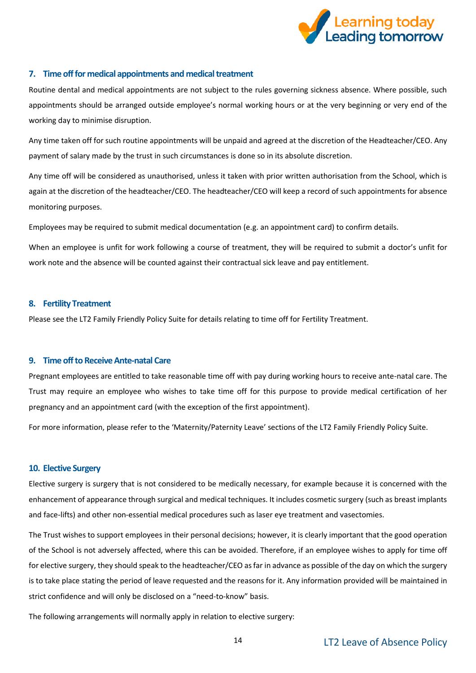

## <span id="page-13-0"></span>**7. Time off for medical appointments and medical treatment**

Routine dental and medical appointments are not subject to the rules governing sickness absence. Where possible, such appointments should be arranged outside employee's normal working hours or at the very beginning or very end of the working day to minimise disruption.

Any time taken off for such routine appointments will be unpaid and agreed at the discretion of the Headteacher/CEO. Any payment of salary made by the trust in such circumstances is done so in its absolute discretion.

Any time off will be considered as unauthorised, unless it taken with prior written authorisation from the School, which is again at the discretion of the headteacher/CEO. The headteacher/CEO will keep a record of such appointments for absence monitoring purposes.

Employees may be required to submit medical documentation (e.g. an appointment card) to confirm details.

When an employee is unfit for work following a course of treatment, they will be required to submit a doctor's unfit for work note and the absence will be counted against their contractual sick leave and pay entitlement.

#### <span id="page-13-1"></span>**8. Fertility Treatment**

Please see the LT2 Family Friendly Policy Suite for details relating to time off for Fertility Treatment.

#### <span id="page-13-2"></span>**9. Time off to Receive Ante-natal Care**

Pregnant employees are entitled to take reasonable time off with pay during working hours to receive ante-natal care. The Trust may require an employee who wishes to take time off for this purpose to provide medical certification of her pregnancy and an appointment card (with the exception of the first appointment).

For more information, please refer to the 'Maternity/Paternity Leave' sections of the LT2 Family Friendly Policy Suite.

#### <span id="page-13-3"></span>**10. Elective Surgery**

Elective surgery is surgery that is not considered to be medically necessary, for example because it is concerned with the enhancement of appearance through surgical and medical techniques. It includes cosmetic surgery (such as breast implants and face-lifts) and other non-essential medical procedures such as laser eye treatment and vasectomies.

The Trust wishes to support employees in their personal decisions; however, it is clearly important that the good operation of the School is not adversely affected, where this can be avoided. Therefore, if an employee wishes to apply for time off for elective surgery, they should speak to the headteacher/CEO as far in advance as possible of the day on which the surgery is to take place stating the period of leave requested and the reasons for it. Any information provided will be maintained in strict confidence and will only be disclosed on a "need-to-know" basis.

The following arrangements will normally apply in relation to elective surgery: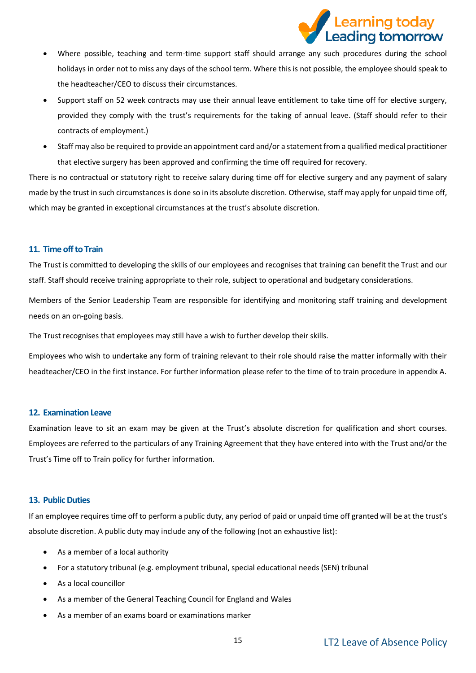

- Where possible, teaching and term-time support staff should arrange any such procedures during the school holidays in order not to miss any days of the school term. Where this is not possible, the employee should speak to the headteacher/CEO to discuss their circumstances.
- Support staff on 52 week contracts may use their annual leave entitlement to take time off for elective surgery, provided they comply with the trust's requirements for the taking of annual leave. (Staff should refer to their contracts of employment.)
- Staff may also be required to provide an appointment card and/or a statement from a qualified medical practitioner that elective surgery has been approved and confirming the time off required for recovery.

There is no contractual or statutory right to receive salary during time off for elective surgery and any payment of salary made by the trust in such circumstances is done so in its absolute discretion. Otherwise, staff may apply for unpaid time off, which may be granted in exceptional circumstances at the trust's absolute discretion.

## <span id="page-14-0"></span>**11. Time off to Train**

The Trust is committed to developing the skills of our employees and recognises that training can benefit the Trust and our staff. Staff should receive training appropriate to their role, subject to operational and budgetary considerations.

Members of the Senior Leadership Team are responsible for identifying and monitoring staff training and development needs on an on-going basis.

The Trust recognises that employees may still have a wish to further develop their skills.

Employees who wish to undertake any form of training relevant to their role should raise the matter informally with their headteacher/CEO in the first instance. For further information please refer to the time of to train procedure in appendix A.

## <span id="page-14-1"></span>**12. Examination Leave**

Examination leave to sit an exam may be given at the Trust's absolute discretion for qualification and short courses. Employees are referred to the particulars of any Training Agreement that they have entered into with the Trust and/or the Trust's Time off to Train policy for further information.

## <span id="page-14-2"></span>**13. Public Duties**

If an employee requires time off to perform a public duty, any period of paid or unpaid time off granted will be at the trust's absolute discretion. A public duty may include any of the following (not an exhaustive list):

- As a member of a local authority
- For a statutory tribunal (e.g. employment tribunal, special educational needs (SEN) tribunal
- As a local councillor
- As a member of the General Teaching Council for England and Wales
- As a member of an exams board or examinations marker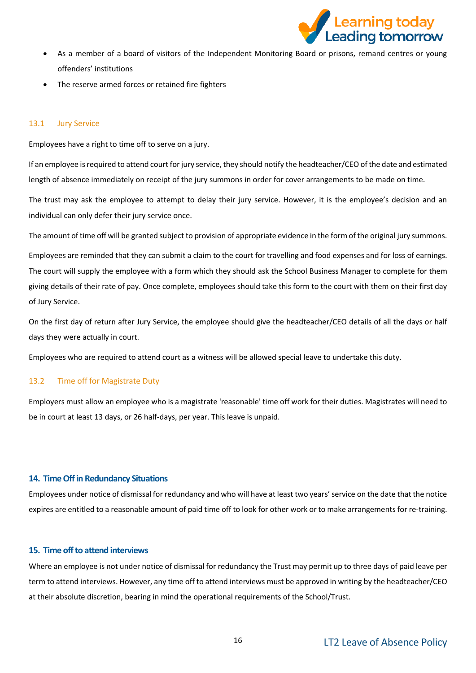

- As a member of a board of visitors of the Independent Monitoring Board or prisons, remand centres or young offenders' institutions
- The reserve armed forces or retained fire fighters

## 13.1 Jury Service

Employees have a right to time off to serve on a jury.

If an employee is required to attend court for jury service, they should notify the headteacher/CEO of the date and estimated length of absence immediately on receipt of the jury summons in order for cover arrangements to be made on time.

The trust may ask the employee to attempt to delay their jury service. However, it is the employee's decision and an individual can only defer their jury service once.

The amount of time off will be granted subject to provision of appropriate evidence in the form of the original jury summons.

Employees are reminded that they can submit a claim to the court for travelling and food expenses and for loss of earnings. The court will supply the employee with a form which they should ask the School Business Manager to complete for them giving details of their rate of pay. Once complete, employees should take this form to the court with them on their first day of Jury Service.

On the first day of return after Jury Service, the employee should give the headteacher/CEO details of all the days or half days they were actually in court.

Employees who are required to attend court as a witness will be allowed special leave to undertake this duty.

## 13.2 Time off for Magistrate Duty

Employers must allow an employee who is a magistrate 'reasonable' time off work for their duties. Magistrates will need to be in court at least 13 days, or 26 half-days, per year. This leave is unpaid.

#### <span id="page-15-0"></span>**14. Time Off in Redundancy Situations**

Employees under notice of dismissal for redundancy and who will have at least two years' service on the date that the notice expires are entitled to a reasonable amount of paid time off to look for other work or to make arrangements for re-training.

## <span id="page-15-1"></span>**15. Time off to attend interviews**

Where an employee is not under notice of dismissal for redundancy the Trust may permit up to three days of paid leave per term to attend interviews. However, any time off to attend interviews must be approved in writing by the headteacher/CEO at their absolute discretion, bearing in mind the operational requirements of the School/Trust.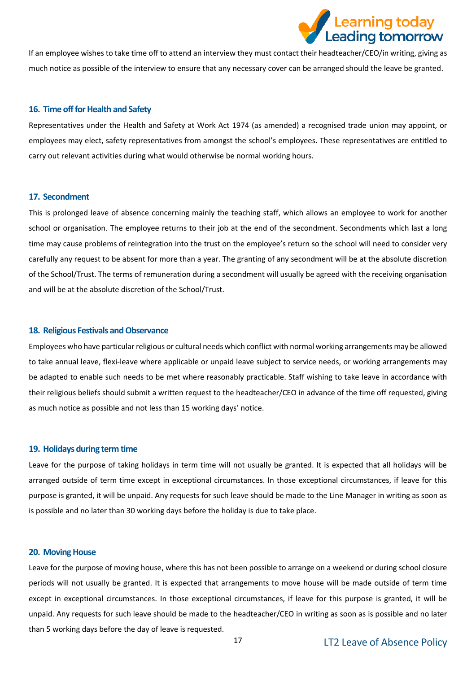

If an employee wishes to take time off to attend an interview they must contact their headteacher/CEO/in writing, giving as much notice as possible of the interview to ensure that any necessary cover can be arranged should the leave be granted.

#### <span id="page-16-0"></span>**16. Time off for Health and Safety**

Representatives under the Health and Safety at Work Act 1974 (as amended) a recognised trade union may appoint, or employees may elect, safety representatives from amongst the school's employees. These representatives are entitled to carry out relevant activities during what would otherwise be normal working hours.

#### <span id="page-16-1"></span>**17. Secondment**

This is prolonged leave of absence concerning mainly the teaching staff, which allows an employee to work for another school or organisation. The employee returns to their job at the end of the secondment. Secondments which last a long time may cause problems of reintegration into the trust on the employee's return so the school will need to consider very carefully any request to be absent for more than a year. The granting of any secondment will be at the absolute discretion of the School/Trust. The terms of remuneration during a secondment will usually be agreed with the receiving organisation and will be at the absolute discretion of the School/Trust.

#### <span id="page-16-2"></span>**18. Religious Festivals and Observance**

Employees who have particular religious or cultural needs which conflict with normal working arrangements may be allowed to take annual leave, flexi-leave where applicable or unpaid leave subject to service needs, or working arrangements may be adapted to enable such needs to be met where reasonably practicable. Staff wishing to take leave in accordance with their religious beliefs should submit a written request to the headteacher/CEO in advance of the time off requested, giving as much notice as possible and not less than 15 working days' notice.

#### <span id="page-16-3"></span>**19. Holidays during term time**

Leave for the purpose of taking holidays in term time will not usually be granted. It is expected that all holidays will be arranged outside of term time except in exceptional circumstances. In those exceptional circumstances, if leave for this purpose is granted, it will be unpaid. Any requests for such leave should be made to the Line Manager in writing as soon as is possible and no later than 30 working days before the holiday is due to take place.

#### <span id="page-16-4"></span>**20. Moving House**

Leave for the purpose of moving house, where this has not been possible to arrange on a weekend or during school closure periods will not usually be granted. It is expected that arrangements to move house will be made outside of term time except in exceptional circumstances. In those exceptional circumstances, if leave for this purpose is granted, it will be unpaid. Any requests for such leave should be made to the headteacher/CEO in writing as soon as is possible and no later than 5 working days before the day of leave is requested.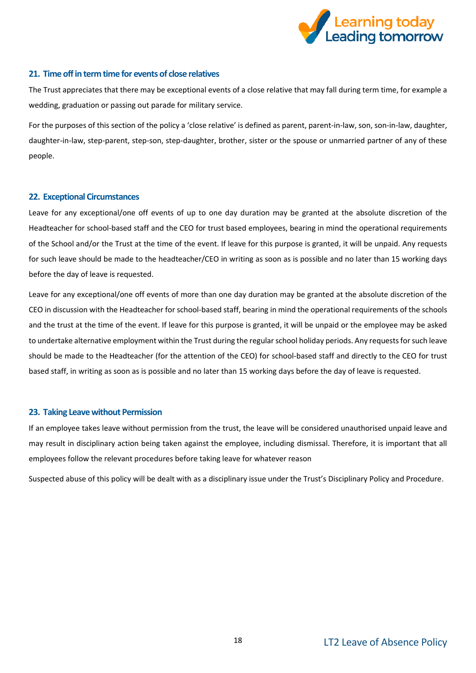

## <span id="page-17-0"></span>**21. Time off in term time for events of close relatives**

The Trust appreciates that there may be exceptional events of a close relative that may fall during term time, for example a wedding, graduation or passing out parade for military service.

For the purposes of this section of the policy a 'close relative' is defined as parent, parent-in-law, son, son-in-law, daughter, daughter-in-law, step-parent, step-son, step-daughter, brother, sister or the spouse or unmarried partner of any of these people.

## <span id="page-17-1"></span>**22. Exceptional Circumstances**

Leave for any exceptional/one off events of up to one day duration may be granted at the absolute discretion of the Headteacher for school-based staff and the CEO for trust based employees, bearing in mind the operational requirements of the School and/or the Trust at the time of the event. If leave for this purpose is granted, it will be unpaid. Any requests for such leave should be made to the headteacher/CEO in writing as soon as is possible and no later than 15 working days before the day of leave is requested.

Leave for any exceptional/one off events of more than one day duration may be granted at the absolute discretion of the CEO in discussion with the Headteacher for school-based staff, bearing in mind the operational requirements of the schools and the trust at the time of the event. If leave for this purpose is granted, it will be unpaid or the employee may be asked to undertake alternative employment within the Trust during the regular school holiday periods. Any requests for such leave should be made to the Headteacher (for the attention of the CEO) for school-based staff and directly to the CEO for trust based staff, in writing as soon as is possible and no later than 15 working days before the day of leave is requested.

#### <span id="page-17-2"></span>**23. Taking Leave without Permission**

If an employee takes leave without permission from the trust, the leave will be considered unauthorised unpaid leave and may result in disciplinary action being taken against the employee, including dismissal. Therefore, it is important that all employees follow the relevant procedures before taking leave for whatever reason

Suspected abuse of this policy will be dealt with as a disciplinary issue under the Trust's Disciplinary Policy and Procedure.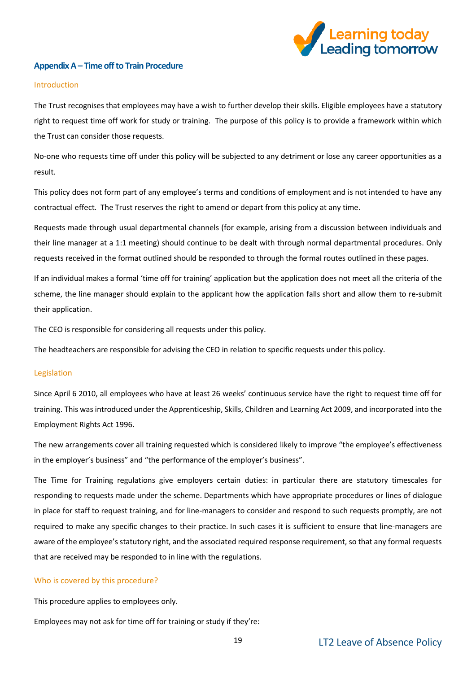

## <span id="page-18-0"></span>**Appendix A – Time off to Train Procedure**

#### Introduction

The Trust recognises that employees may have a wish to further develop their skills. Eligible employees have a statutory right to request time off work for study or training. The purpose of this policy is to provide a framework within which the Trust can consider those requests.

No-one who requests time off under this policy will be subjected to any detriment or lose any career opportunities as a result.

This policy does not form part of any employee's terms and conditions of employment and is not intended to have any contractual effect. The Trust reserves the right to amend or depart from this policy at any time.

Requests made through usual departmental channels (for example, arising from a discussion between individuals and their line manager at a 1:1 meeting) should continue to be dealt with through normal departmental procedures. Only requests received in the format outlined should be responded to through the formal routes outlined in these pages.

If an individual makes a formal 'time off for training' application but the application does not meet all the criteria of the scheme, the line manager should explain to the applicant how the application falls short and allow them to re-submit their application.

The CEO is responsible for considering all requests under this policy.

The headteachers are responsible for advising the CEO in relation to specific requests under this policy.

## Legislation

Since April 6 2010, all employees who have at least 26 weeks' continuous service have the right to request time off for training. This was introduced under the Apprenticeship, Skills, Children and Learning Act 2009, and incorporated into the Employment Rights Act 1996.

The new arrangements cover all training requested which is considered likely to improve "the employee's effectiveness in the employer's business" and "the performance of the employer's business".

The Time for Training regulations give employers certain duties: in particular there are statutory timescales for responding to requests made under the scheme. Departments which have appropriate procedures or lines of dialogue in place for staff to request training, and for line-managers to consider and respond to such requests promptly, are not required to make any specific changes to their practice. In such cases it is sufficient to ensure that line-managers are aware of the employee's statutory right, and the associated required response requirement, so that any formal requests that are received may be responded to in line with the regulations.

#### Who is covered by this procedure?

This procedure applies to employees only.

Employees may not ask for time off for training or study if they're: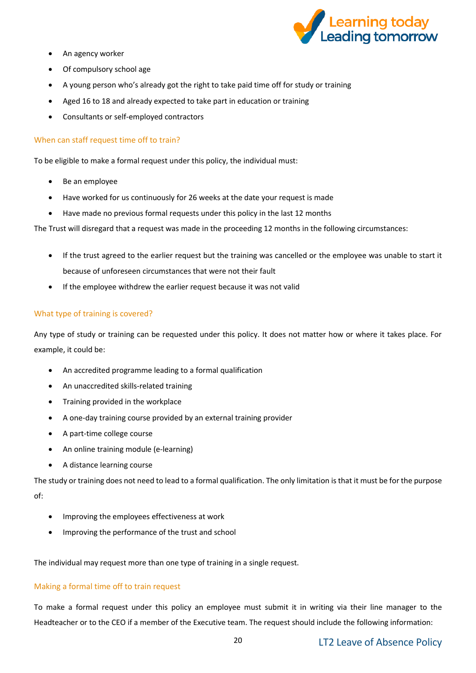

- An agency worker
- Of compulsory school age
- A young person who's already got the right to take paid time off for study or training
- Aged 16 to 18 and already expected to take part in education or training
- Consultants or self-employed contractors

## When can staff request time off to train?

To be eligible to make a formal request under this policy, the individual must:

- Be an employee
- Have worked for us continuously for 26 weeks at the date your request is made
- Have made no previous formal requests under this policy in the last 12 months

The Trust will disregard that a request was made in the proceeding 12 months in the following circumstances:

- If the trust agreed to the earlier request but the training was cancelled or the employee was unable to start it because of unforeseen circumstances that were not their fault
- If the employee withdrew the earlier request because it was not valid

## What type of training is covered?

Any type of study or training can be requested under this policy. It does not matter how or where it takes place. For example, it could be:

- An accredited programme leading to a formal qualification
- An unaccredited skills-related training
- Training provided in the workplace
- A one-day training course provided by an external training provider
- A part-time college course
- An online training module (e-learning)
- A distance learning course

The study or training does not need to lead to a formal qualification. The only limitation is that it must be for the purpose of:

- Improving the employees effectiveness at work
- Improving the performance of the trust and school

The individual may request more than one type of training in a single request.

## Making a formal time off to train request

To make a formal request under this policy an employee must submit it in writing via their line manager to the Headteacher or to the CEO if a member of the Executive team. The request should include the following information: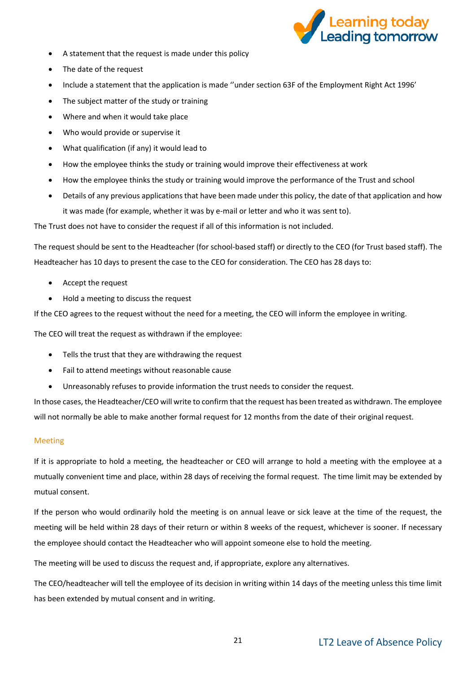

- A statement that the request is made under this policy
- The date of the request
- Include a statement that the application is made ''under section 63F of the Employment Right Act 1996'
- The subject matter of the study or training
- Where and when it would take place
- Who would provide or supervise it
- What qualification (if any) it would lead to
- How the employee thinks the study or training would improve their effectiveness at work
- How the employee thinks the study or training would improve the performance of the Trust and school
- Details of any previous applications that have been made under this policy, the date of that application and how it was made (for example, whether it was by e-mail or letter and who it was sent to).

The Trust does not have to consider the request if all of this information is not included.

The request should be sent to the Headteacher (for school-based staff) or directly to the CEO (for Trust based staff). The Headteacher has 10 days to present the case to the CEO for consideration. The CEO has 28 days to:

- Accept the request
- Hold a meeting to discuss the request

If the CEO agrees to the request without the need for a meeting, the CEO will inform the employee in writing.

The CEO will treat the request as withdrawn if the employee:

- Tells the trust that they are withdrawing the request
- Fail to attend meetings without reasonable cause
- Unreasonably refuses to provide information the trust needs to consider the request.

In those cases, the Headteacher/CEO will write to confirm that the request has been treated as withdrawn. The employee will not normally be able to make another formal request for 12 months from the date of their original request.

#### Meeting

If it is appropriate to hold a meeting, the headteacher or CEO will arrange to hold a meeting with the employee at a mutually convenient time and place, within 28 days of receiving the formal request. The time limit may be extended by mutual consent.

If the person who would ordinarily hold the meeting is on annual leave or sick leave at the time of the request, the meeting will be held within 28 days of their return or within 8 weeks of the request, whichever is sooner. If necessary the employee should contact the Headteacher who will appoint someone else to hold the meeting.

The meeting will be used to discuss the request and, if appropriate, explore any alternatives.

The CEO/headteacher will tell the employee of its decision in writing within 14 days of the meeting unless this time limit has been extended by mutual consent and in writing.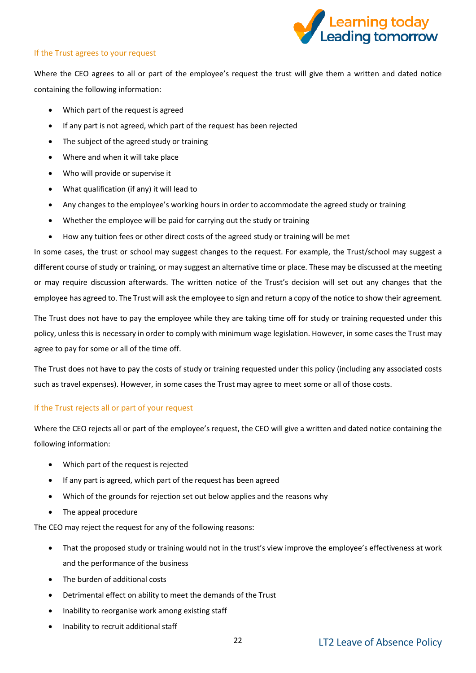

## If the Trust agrees to your request

Where the CEO agrees to all or part of the employee's request the trust will give them a written and dated notice containing the following information:

- Which part of the request is agreed
- If any part is not agreed, which part of the request has been rejected
- The subject of the agreed study or training
- Where and when it will take place
- Who will provide or supervise it
- What qualification (if any) it will lead to
- Any changes to the employee's working hours in order to accommodate the agreed study or training
- Whether the employee will be paid for carrying out the study or training
- How any tuition fees or other direct costs of the agreed study or training will be met

In some cases, the trust or school may suggest changes to the request. For example, the Trust/school may suggest a different course of study or training, or may suggest an alternative time or place. These may be discussed at the meeting or may require discussion afterwards. The written notice of the Trust's decision will set out any changes that the employee has agreed to. The Trust will ask the employee to sign and return a copy of the notice to show their agreement.

The Trust does not have to pay the employee while they are taking time off for study or training requested under this policy, unless this is necessary in order to comply with minimum wage legislation. However, in some cases the Trust may agree to pay for some or all of the time off.

The Trust does not have to pay the costs of study or training requested under this policy (including any associated costs such as travel expenses). However, in some cases the Trust may agree to meet some or all of those costs.

#### If the Trust rejects all or part of your request

Where the CEO rejects all or part of the employee's request, the CEO will give a written and dated notice containing the following information:

- Which part of the request is rejected
- If any part is agreed, which part of the request has been agreed
- Which of the grounds for rejection set out below applies and the reasons why
- The appeal procedure

The CEO may reject the request for any of the following reasons:

- That the proposed study or training would not in the trust's view improve the employee's effectiveness at work and the performance of the business
- The burden of additional costs
- Detrimental effect on ability to meet the demands of the Trust
- Inability to reorganise work among existing staff
- Inability to recruit additional staff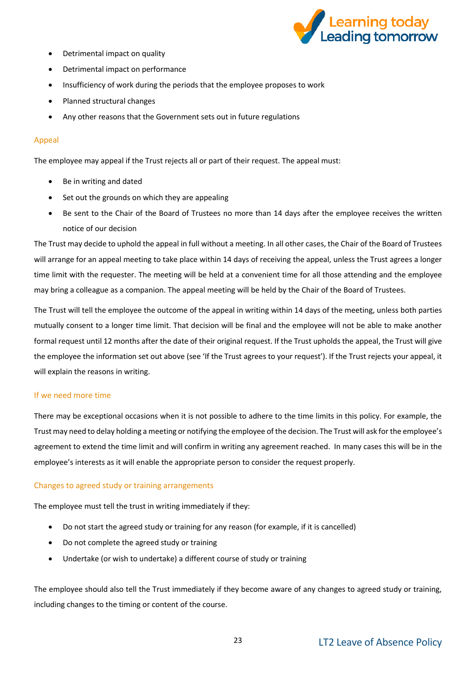

- Detrimental impact on quality
- Detrimental impact on performance
- Insufficiency of work during the periods that the employee proposes to work
- Planned structural changes
- Any other reasons that the Government sets out in future regulations

## Appeal

The employee may appeal if the Trust rejects all or part of their request. The appeal must:

- Be in writing and dated
- Set out the grounds on which they are appealing
- Be sent to the Chair of the Board of Trustees no more than 14 days after the employee receives the written notice of our decision

The Trust may decide to uphold the appeal in full without a meeting. In all other cases, the Chair of the Board of Trustees will arrange for an appeal meeting to take place within 14 days of receiving the appeal, unless the Trust agrees a longer time limit with the requester. The meeting will be held at a convenient time for all those attending and the employee may bring a colleague as a companion. The appeal meeting will be held by the Chair of the Board of Trustees.

The Trust will tell the employee the outcome of the appeal in writing within 14 days of the meeting, unless both parties mutually consent to a longer time limit. That decision will be final and the employee will not be able to make another formal request until 12 months after the date of their original request. If the Trust upholds the appeal, the Trust will give the employee the information set out above (see 'If the Trust agrees to your request'). If the Trust rejects your appeal, it will explain the reasons in writing.

#### If we need more time

There may be exceptional occasions when it is not possible to adhere to the time limits in this policy. For example, the Trust may need to delay holding a meeting or notifying the employee of the decision. The Trust will ask for the employee's agreement to extend the time limit and will confirm in writing any agreement reached. In many cases this will be in the employee's interests as it will enable the appropriate person to consider the request properly.

#### Changes to agreed study or training arrangements

The employee must tell the trust in writing immediately if they:

- Do not start the agreed study or training for any reason (for example, if it is cancelled)
- Do not complete the agreed study or training
- Undertake (or wish to undertake) a different course of study or training

The employee should also tell the Trust immediately if they become aware of any changes to agreed study or training, including changes to the timing or content of the course.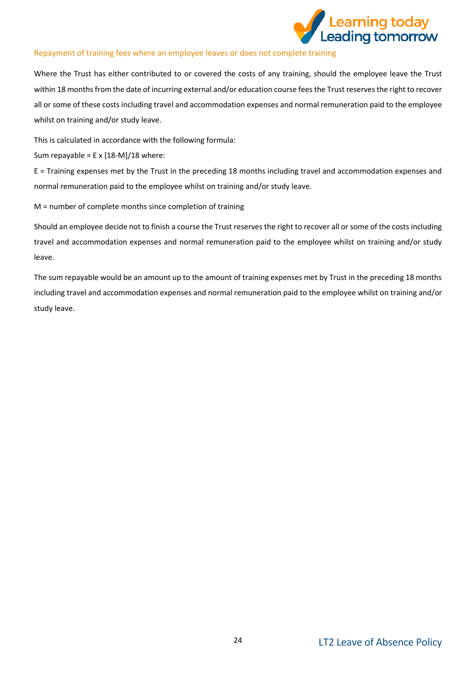

## Repayment of training fees where an employee leaves or does not complete training

Where the Trust has either contributed to or covered the costs of any training, should the employee leave the Trust within 18 months from the date of incurring external and/or education course fees the Trust reserves the right to recover all or some of these costs including travel and accommodation expenses and normal remuneration paid to the employee whilst on training and/or study leave.

This is calculated in accordance with the following formula:

Sum repayable =  $E \times [18-M]/18$  where:

E = Training expenses met by the Trust in the preceding 18 months including travel and accommodation expenses and normal remuneration paid to the employee whilst on training and/or study leave.

M = number of complete months since completion of training

Should an employee decide not to finish a course the Trust reserves the right to recover all or some of the costs including travel and accommodation expenses and normal remuneration paid to the employee whilst on training and/or study leave.

The sum repayable would be an amount up to the amount of training expenses met by Trust in the preceding 18 months including travel and accommodation expenses and normal remuneration paid to the employee whilst on training and/or study leave.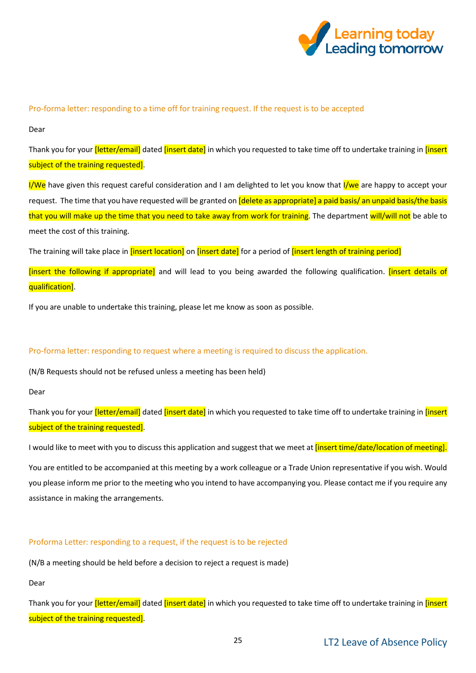

## Pro-forma letter: responding to a time off for training request. If the request is to be accepted

Dear

Thank you for your *[letter/email]* dated *[insert date]* in which you requested to take time off to undertake training in *[insert* subject of the training requested].

I/We have given this request careful consideration and I am delighted to let you know that I/we are happy to accept your request. The time that you have requested will be granted on *[delete as appropriate] a paid basis/ an unpaid basis/the basis* that you will make up the time that you need to take away from work for training. The department will/will not be able to meet the cost of this training.

The training will take place in [insert location] on [insert date] for a period of [insert length of training period]

[insert the following if appropriate] and will lead to you being awarded the following qualification. [insert details of qualification].

If you are unable to undertake this training, please let me know as soon as possible.

## Pro-forma letter: responding to request where a meeting is required to discuss the application.

(N/B Requests should not be refused unless a meeting has been held)

Dear

Thank you for your *[letter/email]* dated *[insert date]* in which you requested to take time off to undertake training in *[insert* subject of the training requested].

I would like to meet with you to discuss this application and suggest that we meet at *[insert time/date/location of meeting]*.

You are entitled to be accompanied at this meeting by a work colleague or a Trade Union representative if you wish. Would you please inform me prior to the meeting who you intend to have accompanying you. Please contact me if you require any assistance in making the arrangements.

## Proforma Letter: responding to a request, if the request is to be rejected

(N/B a meeting should be held before a decision to reject a request is made)

Dear

Thank you for your *[letter/email]* dated *[insert date]* in which you requested to take time off to undertake training in *[insert* subject of the training requested].